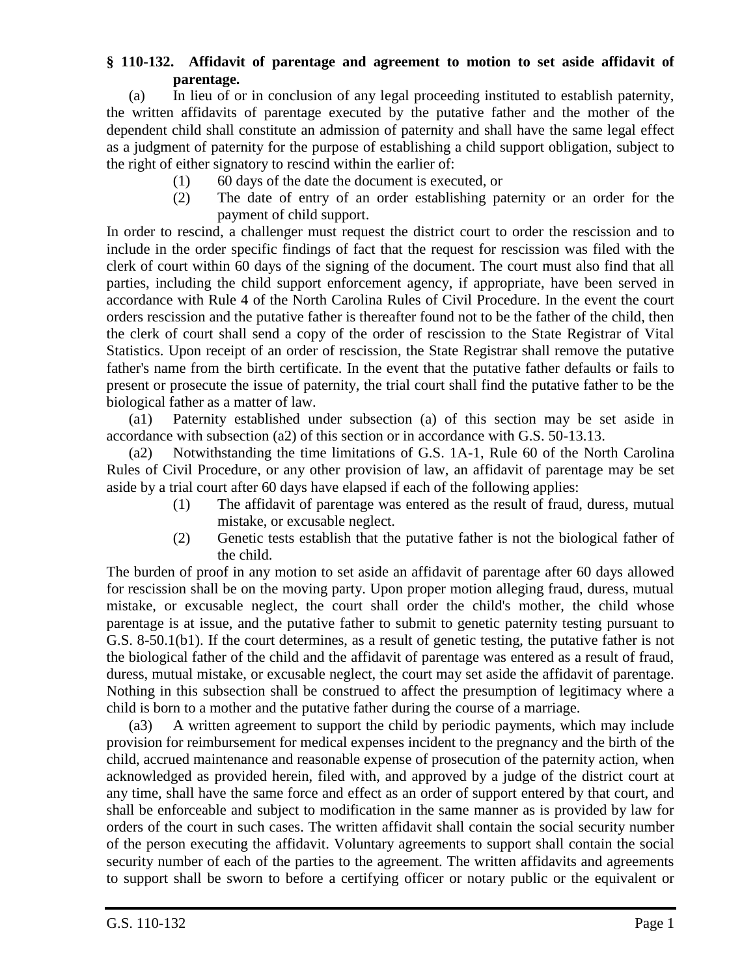## **§ 110-132. Affidavit of parentage and agreement to motion to set aside affidavit of parentage.**

(a) In lieu of or in conclusion of any legal proceeding instituted to establish paternity, the written affidavits of parentage executed by the putative father and the mother of the dependent child shall constitute an admission of paternity and shall have the same legal effect as a judgment of paternity for the purpose of establishing a child support obligation, subject to the right of either signatory to rescind within the earlier of:

- (1) 60 days of the date the document is executed, or
- (2) The date of entry of an order establishing paternity or an order for the payment of child support.

In order to rescind, a challenger must request the district court to order the rescission and to include in the order specific findings of fact that the request for rescission was filed with the clerk of court within 60 days of the signing of the document. The court must also find that all parties, including the child support enforcement agency, if appropriate, have been served in accordance with Rule 4 of the North Carolina Rules of Civil Procedure. In the event the court orders rescission and the putative father is thereafter found not to be the father of the child, then the clerk of court shall send a copy of the order of rescission to the State Registrar of Vital Statistics. Upon receipt of an order of rescission, the State Registrar shall remove the putative father's name from the birth certificate. In the event that the putative father defaults or fails to present or prosecute the issue of paternity, the trial court shall find the putative father to be the biological father as a matter of law.

(a1) Paternity established under subsection (a) of this section may be set aside in accordance with subsection (a2) of this section or in accordance with G.S. 50-13.13.

(a2) Notwithstanding the time limitations of G.S. 1A-1, Rule 60 of the North Carolina Rules of Civil Procedure, or any other provision of law, an affidavit of parentage may be set aside by a trial court after 60 days have elapsed if each of the following applies:

- (1) The affidavit of parentage was entered as the result of fraud, duress, mutual mistake, or excusable neglect.
- (2) Genetic tests establish that the putative father is not the biological father of the child.

The burden of proof in any motion to set aside an affidavit of parentage after 60 days allowed for rescission shall be on the moving party. Upon proper motion alleging fraud, duress, mutual mistake, or excusable neglect, the court shall order the child's mother, the child whose parentage is at issue, and the putative father to submit to genetic paternity testing pursuant to G.S. 8-50.1(b1). If the court determines, as a result of genetic testing, the putative father is not the biological father of the child and the affidavit of parentage was entered as a result of fraud, duress, mutual mistake, or excusable neglect, the court may set aside the affidavit of parentage. Nothing in this subsection shall be construed to affect the presumption of legitimacy where a child is born to a mother and the putative father during the course of a marriage.

(a3) A written agreement to support the child by periodic payments, which may include provision for reimbursement for medical expenses incident to the pregnancy and the birth of the child, accrued maintenance and reasonable expense of prosecution of the paternity action, when acknowledged as provided herein, filed with, and approved by a judge of the district court at any time, shall have the same force and effect as an order of support entered by that court, and shall be enforceable and subject to modification in the same manner as is provided by law for orders of the court in such cases. The written affidavit shall contain the social security number of the person executing the affidavit. Voluntary agreements to support shall contain the social security number of each of the parties to the agreement. The written affidavits and agreements to support shall be sworn to before a certifying officer or notary public or the equivalent or